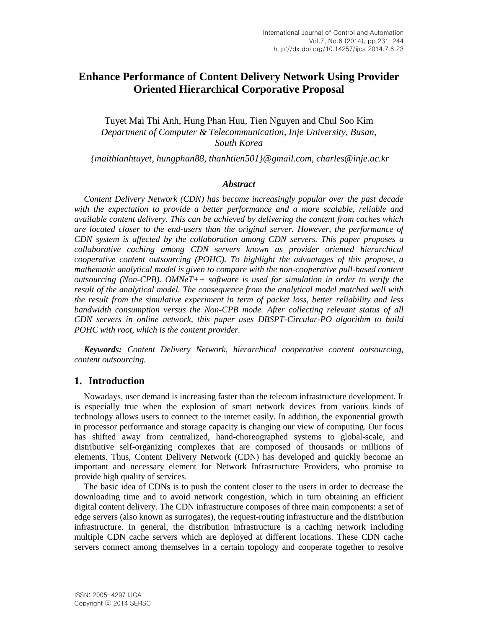# **Enhance Performance of Content Delivery Network Using Provider Oriented Hierarchical Corporative Proposal**

Tuyet Mai Thi Anh, Hung Phan Huu, Tien Nguyen and Chul Soo Kim *Department of Computer & Telecommunication, Inje University, Busan, South Korea*

*{maithianhtuyet, hungphan88, thanhtien501}@gmail.com, charles@inje.ac.kr*

### *Abstract*

*Content Delivery Network (CDN) has become increasingly popular over the past decade*  with the expectation to provide a better performance and a more scalable, reliable and *available content delivery. This can be achieved by delivering the content from caches which are located closer to the end-users than the original server. However, the performance of CDN system is affected by the collaboration among CDN servers. This paper proposes a collaborative caching among CDN servers known as provider oriented hierarchical cooperative content outsourcing (POHC). To highlight the advantages of this propose, a mathematic analytical model is given to compare with the non-cooperative pull-based content outsourcing (Non-CPB). OMNeT++ software is used for simulation in order to verify the result of the analytical model. The consequence from the analytical model matched well with the result from the simulative experiment in term of packet loss, better reliability and less bandwidth consumption versus the Non-CPB mode. After collecting relevant status of all CDN servers in online network, this paper uses DBSPT-Circular-PO algorithm to build POHC with root, which is the content provider.*

*Keywords: Content Delivery Network, hierarchical cooperative content outsourcing, content outsourcing.*

# **1. Introduction**

Nowadays, user demand is increasing faster than the telecom infrastructure development. It is especially true when the explosion of smart network devices from various kinds of technology allows users to connect to the internet easily. In addition, the exponential growth in processor performance and storage capacity is changing our view of computing. Our focus has shifted away from centralized, hand-choreographed systems to global-scale, and distributive self-organizing complexes that are composed of thousands or millions of elements. Thus, Content Delivery Network (CDN) has developed and quickly become an important and necessary element for Network Infrastructure Providers, who promise to provide high quality of services.

The basic idea of CDNs is to push the content closer to the users in order to decrease the downloading time and to avoid network congestion, which in turn obtaining an efficient digital content delivery. The CDN infrastructure composes of three main components: a set of edge servers (also known as surrogates), the request-routing infrastructure and the distribution infrastructure. In general, the distribution infrastructure is a caching network including multiple CDN cache servers which are deployed at different locations. These CDN cache servers connect among themselves in a certain topology and cooperate together to resolve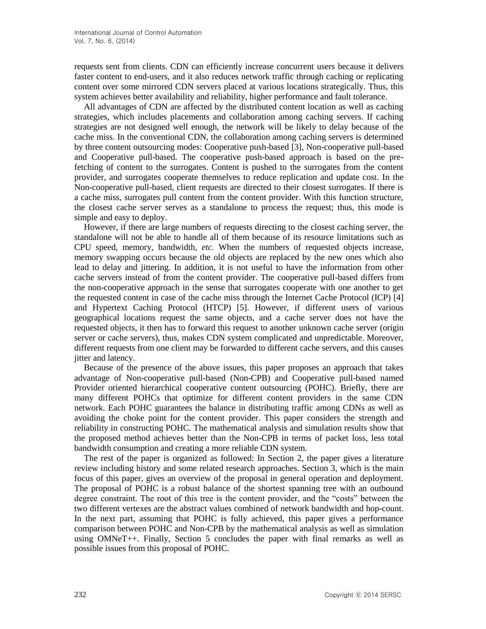requests sent from clients. CDN can efficiently increase concurrent users because it delivers faster content to end-users, and it also reduces network traffic through caching or replicating content over some mirrored CDN servers placed at various locations strategically. Thus, this system achieves better availability and reliability, higher performance and fault tolerance.

All advantages of CDN are affected by the distributed content location as well as caching strategies, which includes placements and collaboration among caching servers. If caching strategies are not designed well enough, the network will be likely to delay because of the cache miss. In the conventional CDN, the collaboration among caching servers is determined by three content outsourcing modes: Cooperative push-based [3], Non-cooperative pull-based and Cooperative pull-based. The cooperative push-based approach is based on the prefetching of content to the surrogates. Content is pushed to the surrogates from the content provider, and surrogates cooperate themselves to reduce replication and update cost. In the Non-cooperative pull-based, client requests are directed to their closest surrogates. If there is a cache miss, surrogates pull content from the content provider. With this function structure, the closest cache server serves as a standalone to process the request; thus, this mode is simple and easy to deploy.

However, if there are large numbers of requests directing to the closest caching server, the standalone will not be able to handle all of them because of its resource limitations such as CPU speed, memory, bandwidth, *etc.* When the numbers of requested objects increase, memory swapping occurs because the old objects are replaced by the new ones which also lead to delay and jittering. In addition, it is not useful to have the information from other cache servers instead of from the content provider. The cooperative pull-based differs from the non-cooperative approach in the sense that surrogates cooperate with one another to get the requested content in case of the cache miss through the Internet Cache Protocol (ICP) [4] and Hypertext Caching Protocol (HTCP) [5]. However, if different users of various geographical locations request the same objects, and a cache server does not have the requested objects, it then has to forward this request to another unknown cache server (origin server or cache servers), thus, makes CDN system complicated and unpredictable. Moreover, different requests from one client may be forwarded to different cache servers, and this causes jitter and latency.

Because of the presence of the above issues, this paper proposes an approach that takes advantage of Non-cooperative pull-based (Non-CPB) and Cooperative pull-based named Provider oriented hierarchical cooperative content outsourcing (POHC). Briefly, there are many different POHCs that optimize for different content providers in the same CDN network. Each POHC guarantees the balance in distributing traffic among CDNs as well as avoiding the choke point for the content provider. This paper considers the strength and reliability in constructing POHC. The mathematical analysis and simulation results show that the proposed method achieves better than the Non-CPB in terms of packet loss, less total bandwidth consumption and creating a more reliable CDN system.

The rest of the paper is organized as followed: In Section 2, the paper gives a literature review including history and some related research approaches. Section 3, which is the main focus of this paper, gives an overview of the proposal in general operation and deployment. The proposal of POHC is a robust balance of the shortest spanning tree with an outbound degree constraint. The root of this tree is the content provider, and the "costs" between the two different vertexes are the abstract values combined of network bandwidth and hop-count. In the next part, assuming that POHC is fully achieved, this paper gives a performance comparison between POHC and Non-CPB by the mathematical analysis as well as simulation using  $OMNeT++$ . Finally, Section 5 concludes the paper with final remarks as well as possible issues from this proposal of POHC.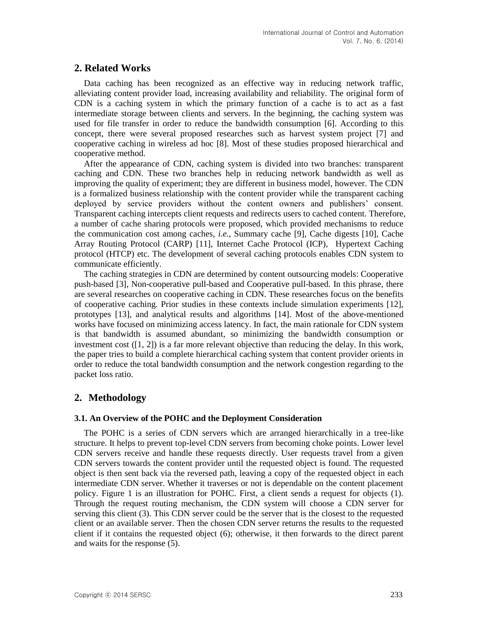# **2. Related Works**

Data caching has been recognized as an effective way in reducing network traffic, alleviating content provider load, increasing availability and reliability. The original form of CDN is a caching system in which the primary function of a cache is to act as a fast intermediate storage between clients and servers. In the beginning, the caching system was used for file transfer in order to reduce the bandwidth consumption [6]. According to this concept, there were several proposed researches such as harvest system project [7] and cooperative caching in wireless ad hoc [8]. Most of these studies proposed hierarchical and cooperative method.

After the appearance of CDN, caching system is divided into two branches: transparent caching and CDN. These two branches help in reducing network bandwidth as well as improving the quality of experiment; they are different in business model, however. The CDN is a formalized business relationship with the content provider while the transparent caching deployed by service providers without the content owners and publishers' consent. Transparent caching intercepts client requests and redirects users to cached content. Therefore, a number of cache sharing protocols were proposed, which provided mechanisms to reduce the communication cost among caches, *i.e.*, Summary cache [9], Cache digests [10], Cache Array Routing Protocol (CARP) [11], Internet Cache Protocol (ICP), Hypertext Caching protocol (HTCP) etc. The development of several caching protocols enables CDN system to communicate efficiently.

The caching strategies in CDN are determined by content outsourcing models: Cooperative push-based [3], Non-cooperative pull-based and Cooperative pull-based. In this phrase, there are several researches on cooperative caching in CDN. These researches focus on the benefits of cooperative caching. Prior studies in these contexts include simulation experiments [12], prototypes [13], and analytical results and algorithms [14]. Most of the above-mentioned works have focused on minimizing access latency. In fact, the main rationale for CDN system is that bandwidth is assumed abundant, so minimizing the bandwidth consumption or investment cost  $([1, 2])$  is a far more relevant objective than reducing the delay. In this work, the paper tries to build a complete hierarchical caching system that content provider orients in order to reduce the total bandwidth consumption and the network congestion regarding to the packet loss ratio.

# **2. Methodology**

#### **3.1. An Overview of the POHC and the Deployment Consideration**

The POHC is a series of CDN servers which are arranged hierarchically in a tree-like structure. It helps to prevent top-level CDN servers from becoming choke points. Lower level CDN servers receive and handle these requests directly. User requests travel from a given CDN servers towards the content provider until the requested object is found. The requested object is then sent back via the reversed path, leaving a copy of the requested object in each intermediate CDN server. Whether it traverses or not is dependable on the content placement policy. Figure 1 is an illustration for POHC. First, a client sends a request for objects (1). Through the request routing mechanism, the CDN system will choose a CDN server for serving this client (3). This CDN server could be the server that is the closest to the requested client or an available server. Then the chosen CDN server returns the results to the requested client if it contains the requested object (6); otherwise, it then forwards to the direct parent and waits for the response (5).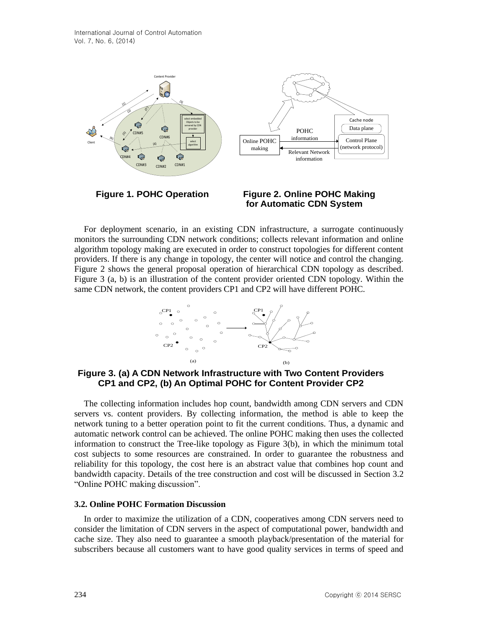

For deployment scenario, in an existing CDN infrastructure, a surrogate continuously monitors the surrounding CDN network conditions; collects relevant information and online algorithm topology making are executed in order to construct topologies for different content providers. If there is any change in topology, the center will notice and control the changing. Figure 2 shows the general proposal operation of hierarchical CDN topology as described. Figure 3 (a, b) is an illustration of the content provider oriented CDN topology. Within the same CDN network, the content providers CP1 and CP2 will have different POHC.



**Figure 3. (a) A CDN Network Infrastructure with Two Content Providers CP1 and CP2, (b) An Optimal POHC for Content Provider CP2**

The collecting information includes hop count, bandwidth among CDN servers and CDN servers vs. content providers. By collecting information, the method is able to keep the network tuning to a better operation point to fit the current conditions. Thus, a dynamic and automatic network control can be achieved. The online POHC making then uses the collected information to construct the Tree-like topology as Figure 3(b), in which the minimum total cost subjects to some resources are constrained. In order to guarantee the robustness and reliability for this topology, the cost here is an abstract value that combines hop count and bandwidth capacity. Details of the tree construction and cost will be discussed in Section 3.2 "Online POHC making discussion".

#### **3.2. Online POHC Formation Discussion**

In order to maximize the utilization of a CDN, cooperatives among CDN servers need to consider the limitation of CDN servers in the aspect of computational power, bandwidth and cache size. They also need to guarantee a smooth playback/presentation of the material for subscribers because all customers want to have good quality services in terms of speed and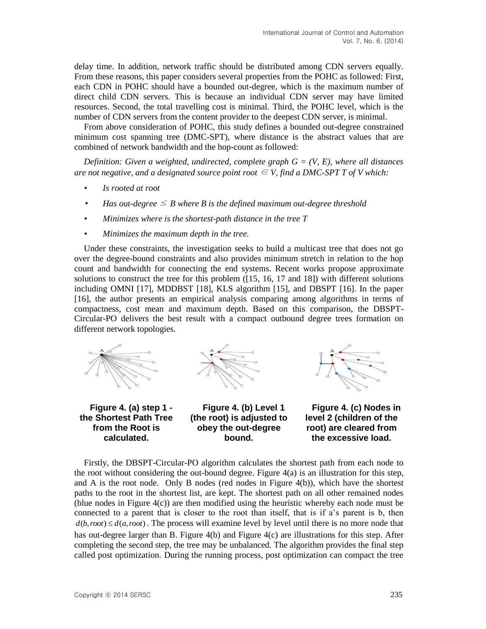delay time. In addition, network traffic should be distributed among CDN servers equally. From these reasons, this paper considers several properties from the POHC as followed: First, each CDN in POHC should have a bounded out-degree, which is the maximum number of direct child CDN servers. This is because an individual CDN server may have limited resources. Second, the total travelling cost is minimal. Third, the POHC level, which is the number of CDN servers from the content provider to the deepest CDN server, is minimal.

From above consideration of POHC, this study defines a bounded out-degree constrained minimum cost spanning tree (DMC-SPT), where distance is the abstract values that are combined of network bandwidth and the hop-count as followed:

*Definition: Given a weighted, undirected, complete graph G = (V, E), where all distances are not negative, and a designated source point root*  $\subseteq$  *V, find a DMC-SPT T of V which:* 

- *• Is rooted at root*
- •*Has out-degree*  $\leq$  *B* where *B* is the defined maximum out-degree threshold
- *• Minimizes where is the shortest-path distance in the tree T*
- *• Minimizes the maximum depth in the tree.*

Under these constraints, the investigation seeks to build a multicast tree that does not go over the degree-bound constraints and also provides minimum stretch in relation to the hop count and bandwidth for connecting the end systems. Recent works propose approximate solutions to construct the tree for this problem ([15, 16, 17 and 18]) with different solutions including OMNI [17], MDDBST [18], KLS algorithm [15], and DBSPT [16]. In the paper [16], the author presents an empirical analysis comparing among algorithms in terms of compactness, cost mean and maximum depth. Based on this comparison, the DBSPT-Circular-PO delivers the best result with a compact outbound degree trees formation on different network topologies.





**Figure 4. (a) step 1 the Shortest Path Tree from the Root is calculated.**

**Figure 4. (b) Level 1 (the root) is adjusted to obey the out-degree bound.**



**Figure 4. (c) Nodes in level 2 (children of the root) are cleared from the excessive load.**

Firstly, the DBSPT-Circular-PO algorithm calculates the shortest path from each node to the root without considering the out-bound degree. Figure 4(a) is an illustration for this step, and A is the root node. Only B nodes (red nodes in Figure  $4(b)$ ), which have the shortest paths to the root in the shortest list, are kept. The shortest path on all other remained nodes (blue nodes in Figure  $4(c)$ ) are then modified using the heuristic whereby each node must be connected to a parent that is closer to the root than itself, that is if a's parent is b, then  $d(b, root) \leq d(a, root)$ . The process will examine level by level until there is no more node that has out-degree larger than B. Figure 4(b) and Figure 4(c) are illustrations for this step. After completing the second step, the tree may be unbalanced. The algorithm provides the final step called post optimization. During the running process, post optimization can compact the tree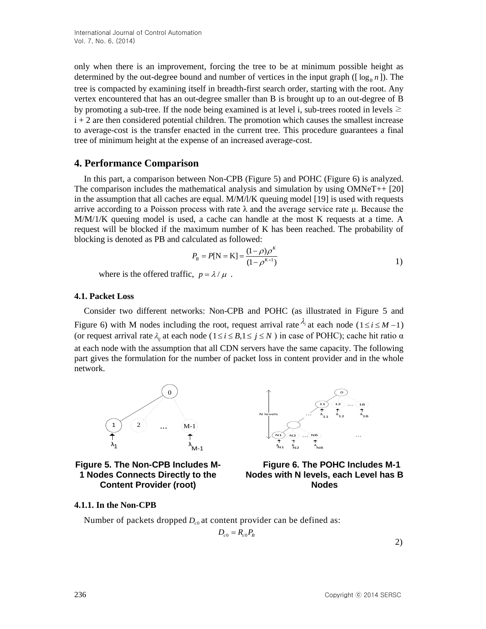only when there is an improvement, forcing the tree to be at minimum possible height as determined by the out-degree bound and number of vertices in the input graph ( $[\log_B n]$ ). The tree is compacted by examining itself in breadth-first search order, starting with the root. Any vertex encountered that has an out-degree smaller than B is brought up to an out-degree of B by promoting a sub-tree. If the node being examined is at level i, sub-trees rooted in levels  $\geq$  $i + 2$  are then considered potential children. The promotion which causes the smallest increase to average-cost is the transfer enacted in the current tree. This procedure guarantees a final tree of minimum height at the expense of an increased average-cost.

# **4. Performance Comparison**

In this part, a comparison between Non-CPB (Figure 5) and POHC (Figure 6) is analyzed. The comparison includes the mathematical analysis and simulation by using  $OMNeT++$  [20] in the assumption that all caches are equal. M/M/l/K queuing model [19] is used with requests arrive according to a Poisson process with rate  $\lambda$  and the average service rate μ. Because the M/M/1/K queuing model is used, a cache can handle at the most K requests at a time. A request will be blocked if the maximum number of K has been reached. The probability of blocking is denoted as PB and calculated as followed:

$$
P_B = P[N = K] = \frac{(1 - \rho)\rho^{K}}{(1 - \rho^{K+1})}
$$

where is the offered traffic,  $p = \lambda / \mu$ .

#### **4.1. Packet Loss**

Consider two different networks: Non-CPB and POHC (as illustrated in Figure 5 and Figure 6) with M nodes including the root, request arrival rate  $\lambda_i$  at each node ( $1 \le i \le M-1$ ) (or request arrival rate  $\lambda_{ij}$  at each node ( $1 \le i \le B$ , $1 \le j \le N$ ) in case of POHC); cache hit ratio  $\alpha$ at each node with the assumption that all CDN servers have the same capacity. The following part gives the formulation for the number of packet loss in content provider and in the whole network.





**Figure 5. The Non-CPB Includes M-1 Nodes Connects Directly to the Content Provider (root)**



#### **4.1.1. In the Non-CPB**

Number of packets dropped  $D_{c0}$  at content provider can be defined as:

$$
D_{c0} = R_{c0} P_B
$$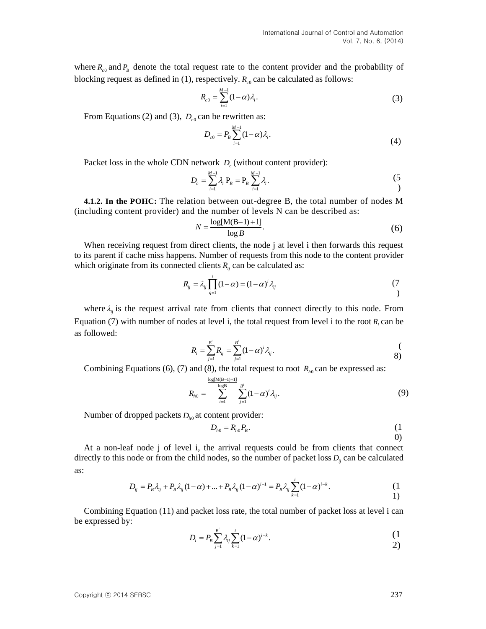where  $R_{c0}$  and  $P_B$  denote the total request rate to the content provider and the probability of blocking request as defined in  $(1)$ , respectively.  $R_{c0}$  can be calculated as follows:

$$
R_{c0} = \sum_{i=1}^{M-1} (1 - \alpha) \lambda_i.
$$
 (3)

From Equations (2) and (3),  $D_{c0}$  can be rewritten as:

$$
D_{c0} = P_B \sum_{i=1}^{M-1} (1 - \alpha) \lambda_i.
$$
 (4)

Packet loss in the whole CDN network  $D_c$  (without content provider):

$$
D_c = \sum_{i=1}^{M-1} \lambda_i \; P_B = P_B \sum_{i=1}^{M-1} \lambda_i.
$$
 (5)

**4.1.2. In the POHC:** The relation between out-degree B, the total number of nodes M (including content provider) and the number of levels N can be described as:

$$
N = \frac{\log[M(B-1) + 1]}{\log B}.\tag{6}
$$

When receiving request from direct clients, the node j at level i then forwards this request to its parent if cache miss happens. Number of requests from this node to the content provider which originate from its connected clients  $R_{ij}$  can be calculated as:

$$
R_{ij} = \lambda_{ij} \prod_{q=1}^{i} (1 - \alpha) = (1 - \alpha)^{i} \lambda_{ij}
$$
\n(7)

where  $\lambda_{ij}$  is the request arrival rate from clients that connect directly to this node. From Equation (7) with number of nodes at level i, the total request from level i to the root  $R_i$  can be as followed:

$$
R_i = \sum_{j=1}^{B^i} R_{ij} = \sum_{j=1}^{B^i} (1 - \alpha)^i \lambda_{ij}.
$$
 (8)

Combining Equations (6), (7) and (8), the total request to root  $R_{h0}$  can be expressed as:

$$
R_{h0} = \sum_{i=1}^{\frac{\log[M(B-1)+1]}{\log B}} \sum_{j=1}^{B^i} (1-\alpha)^i \lambda_{ij}.
$$
 (9)

Number of dropped packets  $D_{h0}$  at content provider:

$$
D_{h0} = R_{h0} P_B.
$$
 (1)  
0)

At a non-leaf node j of level i, the arrival requests could be from clients that connect directly to this node or from the child nodes, so the number of packet loss  $D_i$  can be calculated as:

$$
D_{ij} = P_B \lambda_{ij} + P_B \lambda_{ij} (1 - \alpha) + ... + P_B \lambda_{ij} (1 - \alpha)^{i-1} = P_B \lambda_{ij} \sum_{k=1}^i (1 - \alpha)^{i-k}.
$$
 (1)

Combining Equation (11) and packet loss rate, the total number of packet loss at level i can be expressed by:

$$
D_i = P_B \sum_{j=1}^{B^i} \lambda_{ij} \sum_{k=1}^i (1 - \alpha)^{i-k}.
$$
 (1)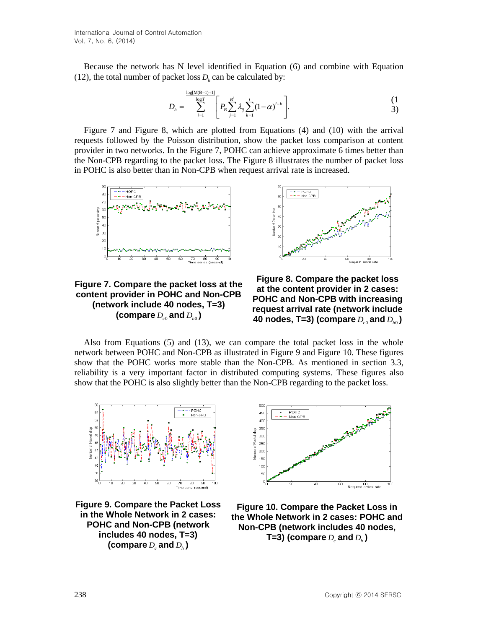Because the network has N level identified in Equation (6) and combine with Equation (12), the total number of packet loss  $D_h$  can be calculated by:

$$
D_{h} = \sum_{i=1}^{\frac{\log[M(B-1)+1]}{\log T}} \left[ P_{B} \sum_{j=1}^{B^{i}} \lambda_{ij} \sum_{k=1}^{i} (1-\alpha)^{i-k} \right].
$$
 (1)  
3)

Figure 7 and Figure 8, which are plotted from Equations (4) and (10) with the arrival requests followed by the Poisson distribution, show the packet loss comparison at content provider in two networks. In the Figure 7, POHC can achieve approximate 6 times better than the Non-CPB regarding to the packet loss. The Figure 8 illustrates the number of packet loss in POHC is also better than in Non-CPB when request arrival rate is increased.



**Figure 7. Compare the packet loss at the content provider in POHC and Non-CPB (network include 40 nodes, T=3)**  (compare  $D_{c0}$  and  $D_{h0}$  )



Also from Equations (5) and (13), we can compare the total packet loss in the whole network between POHC and Non-CPB as illustrated in Figure 9 and Figure 10. These figures show that the POHC works more stable than the Non-CPB. As mentioned in section 3.3, reliability is a very important factor in distributed computing systems. These figures also show that the POHC is also slightly better than the Non-CPB regarding to the packet loss.



**Figure 9. Compare the Packet Loss in the Whole Network in 2 cases: POHC and Non-CPB (network includes 40 nodes, T=3)**  (compare  $D_c$  and  $D_h$  )



**Figure 10. Compare the Packet Loss in the Whole Network in 2 cases: POHC and Non-CPB (network includes 40 nodes,**  T=3) (compare  $D_{\scriptscriptstyle c}$  and  $D_{\scriptscriptstyle h}$  )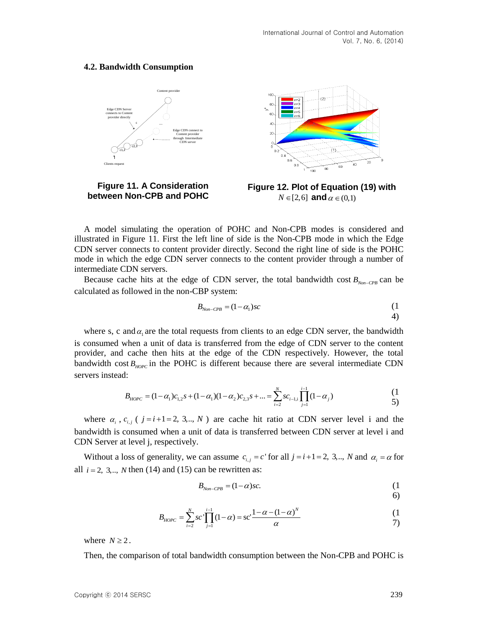#### **4.2. Bandwidth Consumption**



**Figure 11. A Consideration between Non-CPB and POHC**



A model simulating the operation of POHC and Non-CPB modes is considered and illustrated in Figure 11. First the left line of side is the Non-CPB mode in which the Edge CDN server connects to content provider directly. Second the right line of side is the POHC mode in which the edge CDN server connects to the content provider through a number of intermediate CDN servers.

Because cache hits at the edge of CDN server, the total bandwidth cost  $B_{\text{Non-CPB}}$  can be calculated as followed in the non-CBP system:

$$
B_{\scriptscriptstyle{Non-CPB}} = (1 - \alpha_1) s c \tag{1}
$$

where s, c and  $\alpha_1$  are the total requests from clients to an edge CDN server, the bandwidth is consumed when a unit of data is transferred from the edge of CDN server to the content provider, and cache then hits at the edge of the CDN respectively. However, the total bandwidth cost  $B_{\text{HOPC}}$  in the POHC is different because there are several intermediate CDN servers instead:

1:  
\n
$$
B_{HOPC} = (1 - \alpha_1)c_{1,2}s + (1 - \alpha_1)(1 - \alpha_2)c_{2,3}s + ... = \sum_{i=2}^{N} sc_{i-1,i} \prod_{j=1}^{i-1} (1 - \alpha_j)
$$
\n(1)  
\n5)

where  $\alpha_i$ ,  $c_{i,j}$  ( $j=i+1=2, 3,..., N$ ) are cache hit ratio at CDN server level i and the bandwidth is consumed when a unit of data is transferred between CDN server at level i and CDN Server at level j, respectively.

Without a loss of generality, we can assume  $c_{i,j} = c$  for all  $j = i+1 = 2, 3, ..., N$  and  $\alpha_i = \alpha$  for all  $i = 2, 3, \ldots, N$  then (14) and (15) can be rewritten as:

$$
B_{\scriptscriptstyle{Non-CPB}} = (1 - \alpha)sc. \tag{1}
$$

6)

4)

$$
B_{HOPC} = \sum_{i=2}^{N} sc' \prod_{j=1}^{i-1} (1 - \alpha) = sc' \frac{1 - \alpha - (1 - \alpha)^{N}}{\alpha}
$$
 (1)

where  $N \geq 2$ .

Then, the comparison of total bandwidth consumption between the Non-CPB and POHC is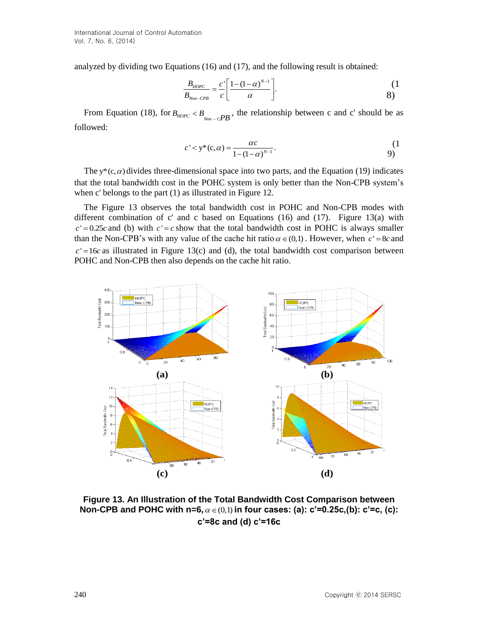analyzed by dividing two Equations (16) and (17), and the following result is obtained:

$$
\frac{B_{HOPC}}{B_{Non-CPB}} = \frac{c'}{c} \left[ \frac{1 - (1 - \alpha)^{N-1}}{\alpha} \right].
$$
 (1)

From Equation (18), for  $B_{HOPC} < B_{\text{Non-}C}$ , the relationship between c and c' should be as followed:

$$
c' < y^*(c, \alpha) = \frac{\alpha c}{1 - (1 - \alpha)^{N-1}}.\tag{1}
$$

The  $y^*(c, \alpha)$  divides three-dimensional space into two parts, and the Equation (19) indicates that the total bandwidth cost in the POHC system is only better than the Non-CPB system's when c' belongs to the part (1) as illustrated in Figure 12.

The Figure 13 observes the total bandwidth cost in POHC and Non-CPB modes with different combination of c' and c based on Equations (16) and (17). Figure 13(a) with  $c' = 0.25c$  and (b) with  $c' = c$  show that the total bandwidth cost in POHC is always smaller than the Non-CPB's with any value of the cache hit ratio  $\alpha \in (0,1)$ . However, when  $c' = 8c$  and  $c' = 16c$  as illustrated in Figure 13(c) and (d), the total bandwidth cost comparison between POHC and Non-CPB then also depends on the cache hit ratio.



**Figure 13. An Illustration of the Total Bandwidth Cost Comparison between Non-CPB and POHC with n=6,**  $\alpha \in (0,1)$  in four cases: (a): c'=0.25c,(b): c'=c, (c): **c'=8c and (d) c'=16c**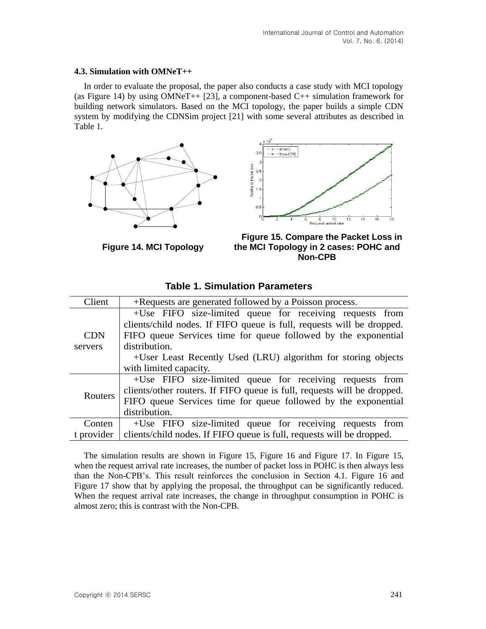#### **4.3. Simulation with OMNeT++**

In order to evaluate the proposal, the paper also conducts a case study with MCI topology (as Figure 14) by using OMNeT++ [23], a component-based  $C++$  simulation framework for building network simulators. Based on the MCI topology, the paper builds a simple CDN system by modifying the CDNSim project [21] with some several attributes as described in Table 1.





**Figure 14. MCI Topology**

**Figure 15. Compare the Packet Loss in the MCI Topology in 2 cases: POHC and Non-CPB**

| Client     | +Requests are generated followed by a Poisson process.                  |
|------------|-------------------------------------------------------------------------|
|            | +Use FIFO size-limited queue for receiving requests from                |
|            | clients/child nodes. If FIFO queue is full, requests will be dropped.   |
| <b>CDN</b> | FIFO queue Services time for queue followed by the exponential          |
| servers    | distribution.                                                           |
|            | +User Least Recently Used (LRU) algorithm for storing objects           |
|            | with limited capacity.                                                  |
| Routers    | +Use FIFO size-limited queue for receiving requests from                |
|            | clients/other routers. If FIFO queue is full, requests will be dropped. |
|            | FIFO queue Services time for queue followed by the exponential          |
|            | distribution.                                                           |
| Conten     | +Use FIFO size-limited queue for receiving requests from                |
| t provider | clients/child nodes. If FIFO queue is full, requests will be dropped.   |

## **Table 1. Simulation Parameters**

The simulation results are shown in Figure 15, Figure 16 and Figure 17. In Figure 15, when the request arrival rate increases, the number of packet loss in POHC is then always less than the Non-CPB's. This result reinforces the conclusion in Section 4.1. Figure 16 and Figure 17 show that by applying the proposal, the throughput can be significantly reduced. When the request arrival rate increases, the change in throughput consumption in POHC is almost zero; this is contrast with the Non-CPB.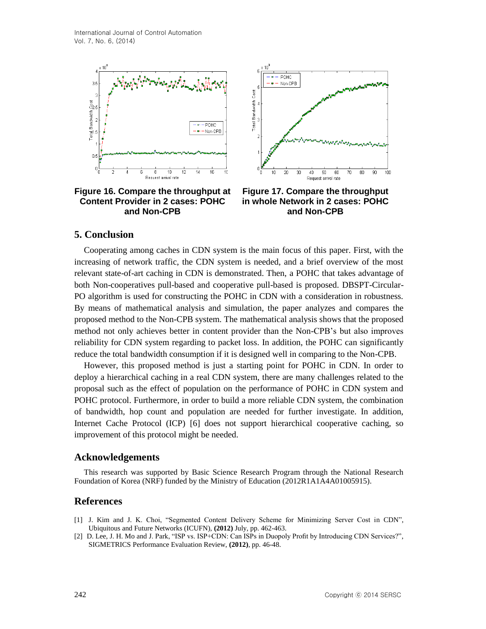

**Figure 16. Compare the throughput at Content Provider in 2 cases: POHC and Non-CPB**



**Figure 17. Compare the throughput in whole Network in 2 cases: POHC and Non-CPB**

### **5. Conclusion**

Cooperating among caches in CDN system is the main focus of this paper. First, with the increasing of network traffic, the CDN system is needed, and a brief overview of the most relevant state-of-art caching in CDN is demonstrated. Then, a POHC that takes advantage of both Non-cooperatives pull-based and cooperative pull-based is proposed. DBSPT-Circular-PO algorithm is used for constructing the POHC in CDN with a consideration in robustness. By means of mathematical analysis and simulation, the paper analyzes and compares the proposed method to the Non-CPB system. The mathematical analysis shows that the proposed method not only achieves better in content provider than the Non-CPB's but also improves reliability for CDN system regarding to packet loss. In addition, the POHC can significantly reduce the total bandwidth consumption if it is designed well in comparing to the Non-CPB.

However, this proposed method is just a starting point for POHC in CDN. In order to deploy a hierarchical caching in a real CDN system, there are many challenges related to the proposal such as the effect of population on the performance of POHC in CDN system and POHC protocol. Furthermore, in order to build a more reliable CDN system, the combination of bandwidth, hop count and population are needed for further investigate. In addition, Internet Cache Protocol (ICP) [6] does not support hierarchical cooperative caching, so improvement of this protocol might be needed.

### **Acknowledgements**

This research was supported by Basic Science Research Program through the National Research Foundation of Korea (NRF) funded by the Ministry of Education (2012R1A1A4A01005915).

#### **References**

- [1] J. Kim and J. K. Choi, "Segmented Content Delivery Scheme for Minimizing Server Cost in CDN", Ubiquitous and Future Networks (ICUFN), **(2012)** July, pp. 462-463.
- [2] D. Lee, J. H. Mo and J. Park, "ISP vs. ISP+CDN: Can ISPs in Duopoly Profit by Introducing CDN Services?", SIGMETRICS Performance Evaluation Review, **(2012)**, pp. 46-48.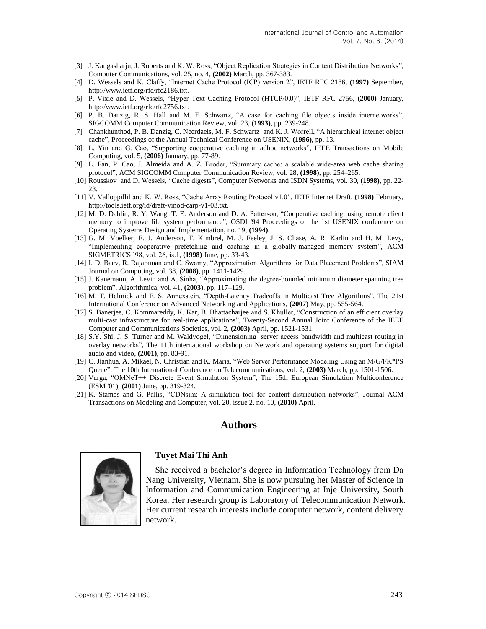- [3] J. Kangasharju, J. Roberts and K. W. Ross, "Object Replication Strategies in Content Distribution Networks", Computer Communications, vol. 25, no. 4, **(2002)** March, pp. 367-383.
- [4] D. Wessels and K. Claffy, "Internet Cache Protocol (ICP) version 2", IETF RFC 2186, **(1997)** September, http://www.ietf.org/rfc/rfc2186.txt.
- [5] P. Vixie and D. Wessels, "Hyper Text Caching Protocol (HTCP/0.0)", IETF RFC 2756, **(2000)** January, http://www.ietf.org/rfc/rfc2756.txt.
- [6] P. B. Danzig, R. S. Hall and M. F. Schwartz, "A case for caching file objects inside internetworks", SIGCOMM Computer Communication Review, vol. 23, **(1993)**, pp. 239-248.
- [7] Chankhunthod, P. B. Danzig, C. Neerdaels, M. F. Schwartz and K. J. Worrell, "A hierarchical internet object cache", Proceedings of the Annual Technical Conference on USENIX, **(1996)**, pp. 13.
- [8] L. Yin and G. Cao, "Supporting cooperative caching in adhoc networks", IEEE Transactions on Mobile Computing, vol. 5, **(2006)** January, pp. 77-89.
- [9] L. Fan, P. Cao, J. Almeida and A. Z. Broder, "Summary cache: a scalable wide-area web cache sharing protocol", ACM SIGCOMM Computer Communication Review, vol. 28, **(1998)**, pp. 254–265.
- [10] Rousskov and D. Wessels, "Cache digests", Computer Networks and ISDN Systems, vol. 30, **(1998)**, pp. 22- 23.
- [11] V. Valloppillil and K. W. Ross, "Cache Array Routing Protocol v1.0", IETF Internet Draft, **(1998)** February, http://tools.ietf.org/id/draft-vinod-carp-v1-03.txt.
- [12] M. D. Dahlin, R. Y. Wang, T. E. Anderson and D. A. Patterson, "Cooperative caching: using remote client memory to improve file system performance", OSDI '94 Proceedings of the 1st USENIX conference on Operating Systems Design and Implementation, no. 19, **(1994)**.
- [13] G. M. Voelker, E. J. Anderson, T. Kimbrel, M. J. Feeley, J. S. Chase, A. R. Karlin and H. M. Levy, "Implementing cooperative prefetching and caching in a globally-managed memory system", ACM SIGMETRICS '98, vol. 26, is.1, **(1998)** June, pp. 33-43.
- [14] I. D. Baev, R. Rajaraman and C. Swamy, "Approximation Algorithms for Data Placement Problems", SIAM Journal on Computing, vol. 38, **(2008)**, pp. 1411-1429.
- [15] J. Kanemann, A. Levin and A. Sinha, "Approximating the degree-bounded minimum diameter spanning tree problem", Algorithmica, vol. 41, **(2003)**, pp. 117–129.
- [16] M. T. Helmick and F. S. Annexstein, "Depth-Latency Tradeoffs in Multicast Tree Algorithms", The 21st International Conference on Advanced Networking and Applications, **(2007)** May, pp. 555-564.
- [17] S. Banerjee, C. Kommareddy, K. Kar, B. Bhattacharjee and S. Khuller, "Construction of an efficient overlay multi-cast infrastructure for real-time applications", Twenty-Second Annual Joint Conference of the IEEE Computer and Communications Societies, vol. 2, **(2003)** April, pp. 1521-1531.
- [18] S.Y. Shi, J. S. Turner and M. Waldvogel, "Dimensioning server access bandwidth and multicast routing in overlay networks", The 11th international workshop on Network and operating systems support for digital audio and video, **(2001)**, pp. 83-91.
- [19] C. Jianhua, A. Mikael, N. Christian and K. Maria, "Web Server Performance Modeling Using an M/G/l/K\*PS Queue", The 10th International Conference on Telecommunications, vol. 2, **(2003)** March, pp. 1501-1506.
- [20] Varga, "OMNeT++ Discrete Event Simulation System", The 15th European Simulation Multiconference (ESM '01), **(2001)** June, pp. 319-324.
- [21] K. Stamos and G. Pallis, "CDNsim: A simulation tool for content distribution networks", Journal ACM Transactions on Modeling and Computer, vol. 20, issue 2, no. 10, **(2010)** April.

### **Authors**



#### **Tuyet Mai Thi Anh**

She received a bachelor's degree in Information Technology from Da Nang University, Vietnam. She is now pursuing her Master of Science in Information and Communication Engineering at Inje University, South Korea. Her research group is Laboratory of Telecommunication Network. Her current research interests include computer network, content delivery network.